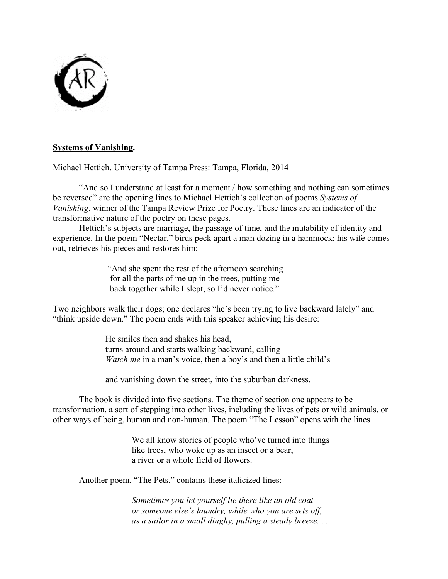

# **Systems of Vanishing.**

Michael Hettich. University of Tampa Press: Tampa, Florida, 2014

"And so I understand at least for a moment / how something and nothing can sometimes be reversed" are the opening lines to Michael Hettich's collection of poems *Systems of Vanishing*, winner of the Tampa Review Prize for Poetry. These lines are an indicator of the transformative nature of the poetry on these pages.

Hettich's subjects are marriage, the passage of time, and the mutability of identity and experience. In the poem "Nectar," birds peck apart a man dozing in a hammock; his wife comes out, retrieves his pieces and restores him:

> "And she spent the rest of the afternoon searching for all the parts of me up in the trees, putting me back together while I slept, so I'd never notice."

Two neighbors walk their dogs; one declares "he's been trying to live backward lately" and "think upside down." The poem ends with this speaker achieving his desire:

> He smiles then and shakes his head, turns around and starts walking backward, calling *Watch me* in a man's voice, then a boy's and then a little child's

and vanishing down the street, into the suburban darkness.

The book is divided into five sections. The theme of section one appears to be transformation, a sort of stepping into other lives, including the lives of pets or wild animals, or other ways of being, human and non-human. The poem "The Lesson" opens with the lines

> We all know stories of people who've turned into things like trees, who woke up as an insect or a bear, a river or a whole field of flowers.

Another poem, "The Pets," contains these italicized lines:

*Sometimes you let yourself lie there like an old coat or someone else's laundry, while who you are sets off, as a sailor in a small dinghy, pulling a steady breeze. . .*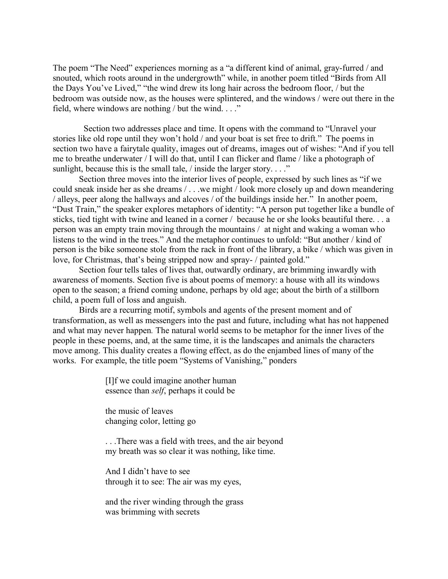The poem "The Need" experiences morning as a "a different kind of animal, gray-furred / and snouted, which roots around in the undergrowth" while, in another poem titled "Birds from All the Days You've Lived," "the wind drew its long hair across the bedroom floor, / but the bedroom was outside now, as the houses were splintered, and the windows / were out there in the field, where windows are nothing / but the wind. . . ."

 Section two addresses place and time. It opens with the command to "Unravel your stories like old rope until they won't hold / and your boat is set free to drift." The poems in section two have a fairytale quality, images out of dreams, images out of wishes: "And if you tell me to breathe underwater / I will do that, until I can flicker and flame / like a photograph of sunlight, because this is the small tale, / inside the larger story. . . ."

Section three moves into the interior lives of people, expressed by such lines as "if we could sneak inside her as she dreams / . . .we might / look more closely up and down meandering / alleys, peer along the hallways and alcoves / of the buildings inside her." In another poem, "Dust Train," the speaker explores metaphors of identity: "A person put together like a bundle of sticks, tied tight with twine and leaned in a corner / because he or she looks beautiful there. . . a person was an empty train moving through the mountains / at night and waking a woman who listens to the wind in the trees." And the metaphor continues to unfold: "But another / kind of person is the bike someone stole from the rack in front of the library, a bike / which was given in love, for Christmas, that's being stripped now and spray- / painted gold."

Section four tells tales of lives that, outwardly ordinary, are brimming inwardly with awareness of moments. Section five is about poems of memory: a house with all its windows open to the season; a friend coming undone, perhaps by old age; about the birth of a stillborn child, a poem full of loss and anguish.

Birds are a recurring motif, symbols and agents of the present moment and of transformation, as well as messengers into the past and future, including what has not happened and what may never happen*.* The natural world seems to be metaphor for the inner lives of the people in these poems, and, at the same time, it is the landscapes and animals the characters move among. This duality creates a flowing effect, as do the enjambed lines of many of the works. For example, the title poem "Systems of Vanishing," ponders

> [I]f we could imagine another human essence than *self*, perhaps it could be

the music of leaves changing color, letting go

. . .There was a field with trees, and the air beyond my breath was so clear it was nothing, like time.

And I didn't have to see through it to see: The air was my eyes,

and the river winding through the grass was brimming with secrets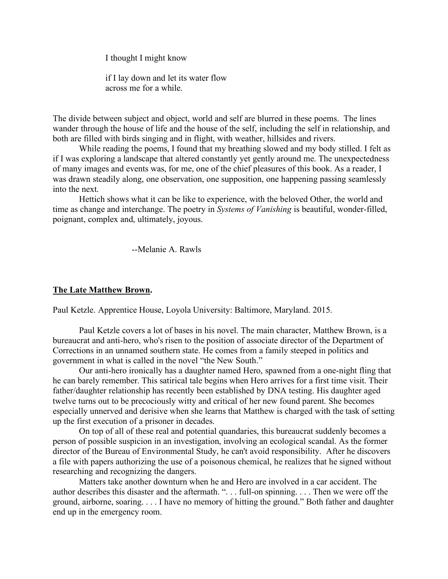I thought I might know

if I lay down and let its water flow across me for a while.

The divide between subject and object, world and self are blurred in these poems. The lines wander through the house of life and the house of the self, including the self in relationship, and both are filled with birds singing and in flight, with weather, hillsides and rivers.

While reading the poems, I found that my breathing slowed and my body stilled. I felt as if I was exploring a landscape that altered constantly yet gently around me. The unexpectedness of many images and events was, for me, one of the chief pleasures of this book. As a reader, I was drawn steadily along, one observation, one supposition, one happening passing seamlessly into the next.

Hettich shows what it can be like to experience, with the beloved Other, the world and time as change and interchange. The poetry in *Systems of Vanishing* is beautiful, wonder-filled, poignant, complex and, ultimately, joyous.

--Melanie A. Rawls

## **The Late Matthew Brown.**

Paul Ketzle. Apprentice House, Loyola University: Baltimore, Maryland. 2015.

Paul Ketzle covers a lot of bases in his novel. The main character, Matthew Brown, is a bureaucrat and anti-hero, who's risen to the position of associate director of the Department of Corrections in an unnamed southern state. He comes from a family steeped in politics and government in what is called in the novel "the New South."

Our anti-hero ironically has a daughter named Hero, spawned from a one-night fling that he can barely remember. This satirical tale begins when Hero arrives for a first time visit. Their father/daughter relationship has recently been established by DNA testing. His daughter aged twelve turns out to be precociously witty and critical of her new found parent. She becomes especially unnerved and derisive when she learns that Matthew is charged with the task of setting up the first execution of a prisoner in decades.

On top of all of these real and potential quandaries, this bureaucrat suddenly becomes a person of possible suspicion in an investigation, involving an ecological scandal. As the former director of the Bureau of Environmental Study, he can't avoid responsibility. After he discovers a file with papers authorizing the use of a poisonous chemical, he realizes that he signed without researching and recognizing the dangers.

Matters take another downturn when he and Hero are involved in a car accident. The author describes this disaster and the aftermath. ". . . full-on spinning. . . . Then we were off the ground, airborne, soaring. . . . I have no memory of hitting the ground." Both father and daughter end up in the emergency room.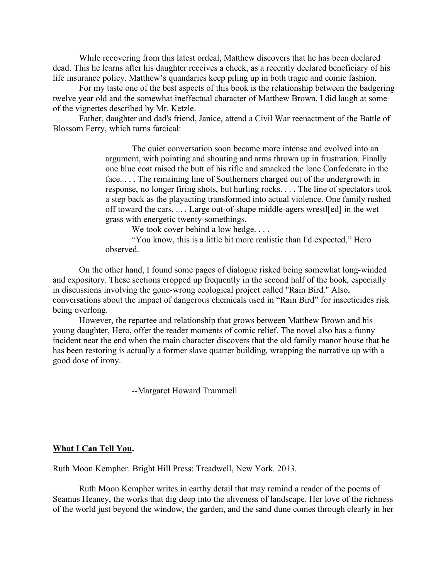While recovering from this latest ordeal, Matthew discovers that he has been declared dead. This he learns after his daughter receives a check, as a recently declared beneficiary of his life insurance policy. Matthew's quandaries keep piling up in both tragic and comic fashion.

For my taste one of the best aspects of this book is the relationship between the badgering twelve year old and the somewhat ineffectual character of Matthew Brown. I did laugh at some of the vignettes described by Mr. Ketzle.

Father, daughter and dad's friend, Janice, attend a Civil War reenactment of the Battle of Blossom Ferry, which turns farcical:

> The quiet conversation soon became more intense and evolved into an argument, with pointing and shouting and arms thrown up in frustration. Finally one blue coat raised the butt of his rifle and smacked the lone Confederate in the face. . . . The remaining line of Southerners charged out of the undergrowth in response, no longer firing shots, but hurling rocks. . . . The line of spectators took a step back as the playacting transformed into actual violence. One family rushed off toward the cars. . . . Large out-of-shape middle-agers wrestl[ed] in the wet grass with energetic twenty-somethings.

We took cover behind a low hedge....

"You know, this is a little bit more realistic than I'd expected," Hero observed.

On the other hand, I found some pages of dialogue risked being somewhat long-winded and expository. These sections cropped up frequently in the second half of the book, especially in discussions involving the gone-wrong ecological project called "Rain Bird." Also, conversations about the impact of dangerous chemicals used in "Rain Bird" for insecticides risk being overlong.

However, the repartee and relationship that grows between Matthew Brown and his young daughter, Hero, offer the reader moments of comic relief. The novel also has a funny incident near the end when the main character discovers that the old family manor house that he has been restoring is actually a former slave quarter building, wrapping the narrative up with a good dose of irony.

--Margaret Howard Trammell

### **What I Can Tell You.**

Ruth Moon Kempher. Bright Hill Press: Treadwell, New York. 2013.

Ruth Moon Kempher writes in earthy detail that may remind a reader of the poems of Seamus Heaney, the works that dig deep into the aliveness of landscape. Her love of the richness of the world just beyond the window, the garden, and the sand dune comes through clearly in her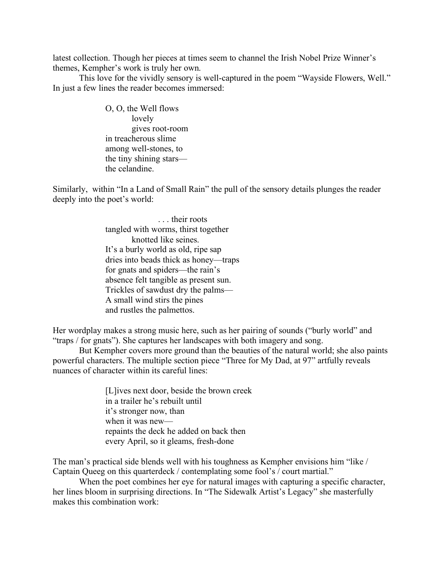latest collection. Though her pieces at times seem to channel the Irish Nobel Prize Winner's themes, Kempher's work is truly her own.

This love for the vividly sensory is well-captured in the poem "Wayside Flowers, Well." In just a few lines the reader becomes immersed:

> O, O, the Well flows lovely gives root-room in treacherous slime among well-stones, to the tiny shining stars the celandine.

Similarly, within "In a Land of Small Rain" the pull of the sensory details plunges the reader deeply into the poet's world:

> ... their roots tangled with worms, thirst together knotted like seines. It's a burly world as old, ripe sap dries into beads thick as honey—traps for gnats and spiders—the rain's absence felt tangible as present sun. Trickles of sawdust dry the palms— A small wind stirs the pines and rustles the palmettos.

Her wordplay makes a strong music here, such as her pairing of sounds ("burly world" and "traps / for gnats"). She captures her landscapes with both imagery and song.

But Kempher covers more ground than the beauties of the natural world; she also paints powerful characters. The multiple section piece "Three for My Dad, at 97" artfully reveals nuances of character within its careful lines:

> [L]ives next door, beside the brown creek in a trailer he's rebuilt until it's stronger now, than when it was new repaints the deck he added on back then every April, so it gleams, fresh-done

The man's practical side blends well with his toughness as Kempher envisions him "like / Captain Queeg on this quarterdeck / contemplating some fool's / court martial."

When the poet combines her eye for natural images with capturing a specific character, her lines bloom in surprising directions. In "The Sidewalk Artist's Legacy" she masterfully makes this combination work: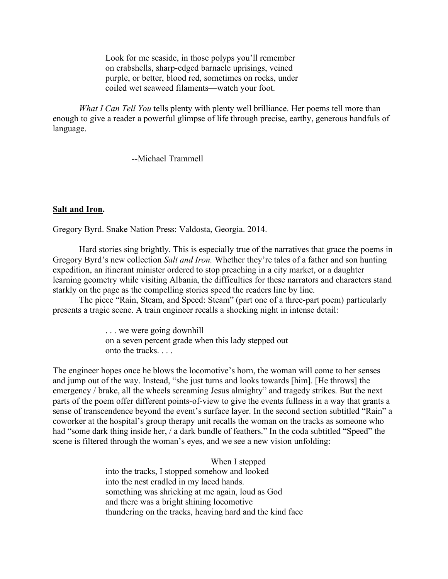Look for me seaside, in those polyps you'll remember on crabshells, sharp-edged barnacle uprisings, veined purple, or better, blood red, sometimes on rocks, under coiled wet seaweed filaments—watch your foot.

*What I Can Tell You* tells plenty with plenty well brilliance. Her poems tell more than enough to give a reader a powerful glimpse of life through precise, earthy, generous handfuls of language.

--Michael Trammell

## **Salt and Iron.**

Gregory Byrd. Snake Nation Press: Valdosta, Georgia. 2014.

Hard stories sing brightly. This is especially true of the narratives that grace the poems in Gregory Byrd's new collection *Salt and Iron.* Whether they're tales of a father and son hunting expedition, an itinerant minister ordered to stop preaching in a city market, or a daughter learning geometry while visiting Albania, the difficulties for these narrators and characters stand starkly on the page as the compelling stories speed the readers line by line.

The piece "Rain, Steam, and Speed: Steam" (part one of a three-part poem) particularly presents a tragic scene. A train engineer recalls a shocking night in intense detail:

> . . . we were going downhill on a seven percent grade when this lady stepped out onto the tracks. . . .

The engineer hopes once he blows the locomotive's horn, the woman will come to her senses and jump out of the way. Instead, "she just turns and looks towards [him]. [He throws] the emergency / brake, all the wheels screaming Jesus almighty" and tragedy strikes. But the next parts of the poem offer different points-of-view to give the events fullness in a way that grants a sense of transcendence beyond the event's surface layer. In the second section subtitled "Rain" a coworker at the hospital's group therapy unit recalls the woman on the tracks as someone who had "some dark thing inside her, / a dark bundle of feathers." In the coda subtitled "Speed" the scene is filtered through the woman's eyes, and we see a new vision unfolding:

> When I stepped into the tracks, I stopped somehow and looked into the nest cradled in my laced hands. something was shrieking at me again, loud as God and there was a bright shining locomotive thundering on the tracks, heaving hard and the kind face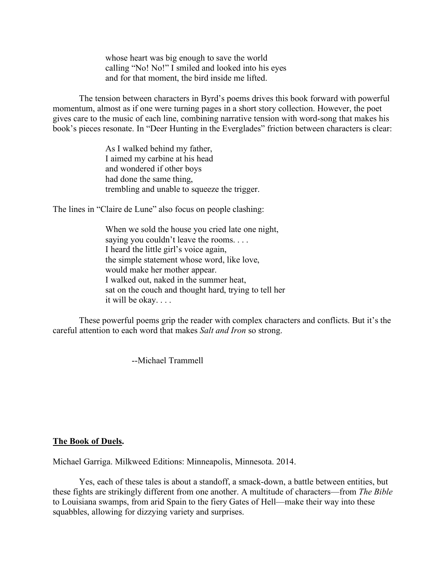whose heart was big enough to save the world calling "No! No!" I smiled and looked into his eyes and for that moment, the bird inside me lifted.

The tension between characters in Byrd's poems drives this book forward with powerful momentum, almost as if one were turning pages in a short story collection. However, the poet gives care to the music of each line, combining narrative tension with word-song that makes his book's pieces resonate. In "Deer Hunting in the Everglades" friction between characters is clear:

> As I walked behind my father, I aimed my carbine at his head and wondered if other boys had done the same thing, trembling and unable to squeeze the trigger.

The lines in "Claire de Lune" also focus on people clashing:

When we sold the house you cried late one night, saying you couldn't leave the rooms. . . . I heard the little girl's voice again, the simple statement whose word, like love, would make her mother appear. I walked out, naked in the summer heat, sat on the couch and thought hard, trying to tell her it will be okay. . . .

These powerful poems grip the reader with complex characters and conflicts. But it's the careful attention to each word that makes *Salt and Iron* so strong.

--Michael Trammell

#### **The Book of Duels.**

Michael Garriga. Milkweed Editions: Minneapolis, Minnesota. 2014.

Yes, each of these tales is about a standoff, a smack-down, a battle between entities, but these fights are strikingly different from one another. A multitude of characters—from *The Bible* to Louisiana swamps, from arid Spain to the fiery Gates of Hell—make their way into these squabbles, allowing for dizzying variety and surprises.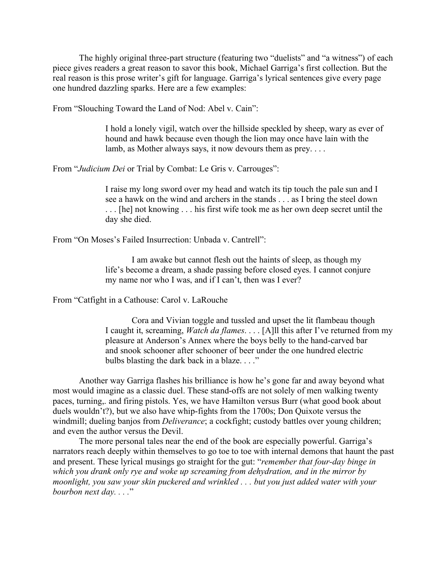The highly original three-part structure (featuring two "duelists" and "a witness") of each piece gives readers a great reason to savor this book, Michael Garriga's first collection. But the real reason is this prose writer's gift for language. Garriga's lyrical sentences give every page one hundred dazzling sparks. Here are a few examples:

From "Slouching Toward the Land of Nod: Abel v. Cain":

I hold a lonely vigil, watch over the hillside speckled by sheep, wary as ever of hound and hawk because even though the lion may once have lain with the lamb, as Mother always says, it now devours them as prey. . . .

From "*Judicium Dei* or Trial by Combat: Le Gris v. Carrouges":

I raise my long sword over my head and watch its tip touch the pale sun and I see a hawk on the wind and archers in the stands . . . as I bring the steel down . . . [he] not knowing . . . his first wife took me as her own deep secret until the day she died.

From "On Moses's Failed Insurrection: Unbada v. Cantrell":

I am awake but cannot flesh out the haints of sleep, as though my life's become a dream, a shade passing before closed eyes. I cannot conjure my name nor who I was, and if I can't, then was I ever?

From "Catfight in a Cathouse: Carol v. LaRouche

Cora and Vivian toggle and tussled and upset the lit flambeau though I caught it, screaming, *Watch da flames*. . . . [A]ll this after I've returned from my pleasure at Anderson's Annex where the boys belly to the hand-carved bar and snook schooner after schooner of beer under the one hundred electric bulbs blasting the dark back in a blaze. . . ."

Another way Garriga flashes his brilliance is how he's gone far and away beyond what most would imagine as a classic duel. These stand-offs are not solely of men walking twenty paces, turning,. and firing pistols. Yes, we have Hamilton versus Burr (what good book about duels wouldn't?), but we also have whip-fights from the 1700s; Don Quixote versus the windmill; dueling banjos from *Deliverance*; a cockfight; custody battles over young children; and even the author versus the Devil.

The more personal tales near the end of the book are especially powerful. Garriga's narrators reach deeply within themselves to go toe to toe with internal demons that haunt the past and present. These lyrical musings go straight for the gut: "*remember that four-day binge in which you drank only rye and woke up screaming from dehydration, and in the mirror by moonlight, you saw your skin puckered and wrinkled . . . but you just added water with your bourbon next day. . . .*"